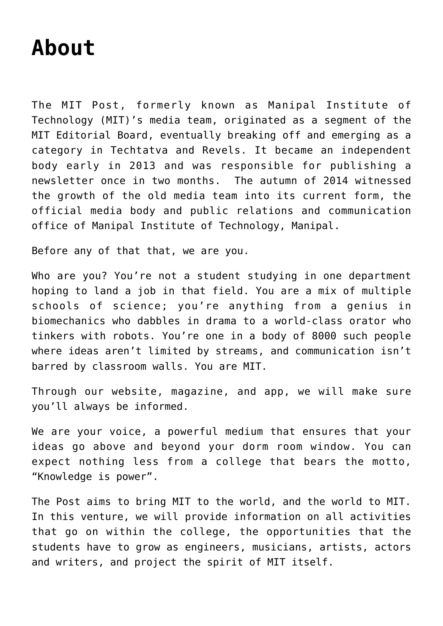## **[About](https://themitpost.com/about/)**

The MIT Post, formerly known as Manipal Institute of Technology (MIT)'s media team, originated as a segment of the MIT Editorial Board, eventually breaking off and emerging as a category in Techtatva and Revels. It became an independent body early in 2013 and was responsible for publishing a newsletter once in two months. The autumn of 2014 witnessed the growth of the old media team into its current form, the official media body and public relations and communication office of Manipal Institute of Technology, Manipal.

Before any of that that, we are you.

Who are you? You're not a student studying in one department hoping to land a job in that field. You are a mix of multiple schools of science; you're anything from a genius in biomechanics who dabbles in drama to a world-class orator who tinkers with robots. You're one in a body of 8000 such people where ideas aren't limited by streams, and communication isn't barred by classroom walls. You are MIT.

Through our website, magazine, and app, we will make sure you'll always be informed.

We are your voice, a powerful medium that ensures that your ideas go above and beyond your dorm room window. You can expect nothing less from a college that bears the motto, "Knowledge is power".

The Post aims to bring MIT to the world, and the world to MIT. In this venture, we will provide information on all activities that go on within the college, the opportunities that the students have to grow as engineers, musicians, artists, actors and writers, and project the spirit of MIT itself.